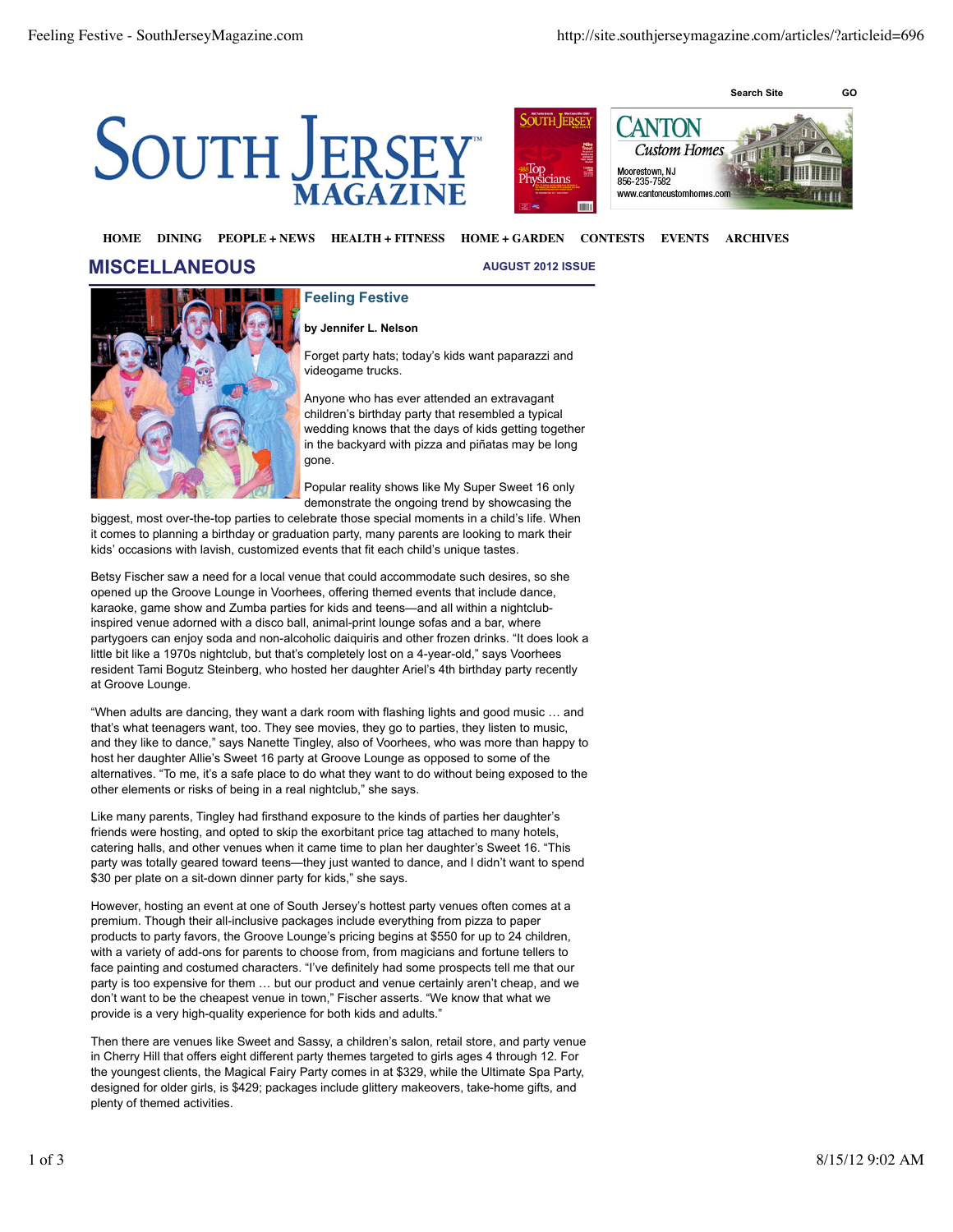



## **HOME DINING PEOPLE + NEWS HEALTH + FITNESS HOME + GARDEN CONTESTS EVENTS ARCHIVES**

## **MISCELLANEOUS**

**AUGUST 2012 ISSUE**



## **by Jennifer L. Nelson**

**Feeling Festive**

Forget party hats; today's kids want paparazzi and videogame trucks.

Anyone who has ever attended an extravagant children's birthday party that resembled a typical wedding knows that the days of kids getting together in the backyard with pizza and piñatas may be long gone.

Popular reality shows like My Super Sweet 16 only demonstrate the ongoing trend by showcasing the

biggest, most over-the-top parties to celebrate those special moments in a child's life. When it comes to planning a birthday or graduation party, many parents are looking to mark their kids' occasions with lavish, customized events that fit each child's unique tastes.

Betsy Fischer saw a need for a local venue that could accommodate such desires, so she opened up the Groove Lounge in Voorhees, offering themed events that include dance, karaoke, game show and Zumba parties for kids and teens—and all within a nightclubinspired venue adorned with a disco ball, animal-print lounge sofas and a bar, where partygoers can enjoy soda and non-alcoholic daiquiris and other frozen drinks. "It does look a little bit like a 1970s nightclub, but that's completely lost on a 4-year-old," says Voorhees resident Tami Bogutz Steinberg, who hosted her daughter Ariel's 4th birthday party recently at Groove Lounge.

"When adults are dancing, they want a dark room with flashing lights and good music … and that's what teenagers want, too. They see movies, they go to parties, they listen to music, and they like to dance," says Nanette Tingley, also of Voorhees, who was more than happy to host her daughter Allie's Sweet 16 party at Groove Lounge as opposed to some of the alternatives. "To me, it's a safe place to do what they want to do without being exposed to the other elements or risks of being in a real nightclub," she says.

Like many parents, Tingley had firsthand exposure to the kinds of parties her daughter's friends were hosting, and opted to skip the exorbitant price tag attached to many hotels, catering halls, and other venues when it came time to plan her daughter's Sweet 16. "This party was totally geared toward teens—they just wanted to dance, and I didn't want to spend \$30 per plate on a sit-down dinner party for kids," she says.

However, hosting an event at one of South Jersey's hottest party venues often comes at a premium. Though their all-inclusive packages include everything from pizza to paper products to party favors, the Groove Lounge's pricing begins at \$550 for up to 24 children, with a variety of add-ons for parents to choose from, from magicians and fortune tellers to face painting and costumed characters. "I've definitely had some prospects tell me that our party is too expensive for them … but our product and venue certainly aren't cheap, and we don't want to be the cheapest venue in town," Fischer asserts. "We know that what we provide is a very high-quality experience for both kids and adults."

Then there are venues like Sweet and Sassy, a children's salon, retail store, and party venue in Cherry Hill that offers eight different party themes targeted to girls ages 4 through 12. For the youngest clients, the Magical Fairy Party comes in at \$329, while the Ultimate Spa Party, designed for older girls, is \$429; packages include glittery makeovers, take-home gifts, and plenty of themed activities.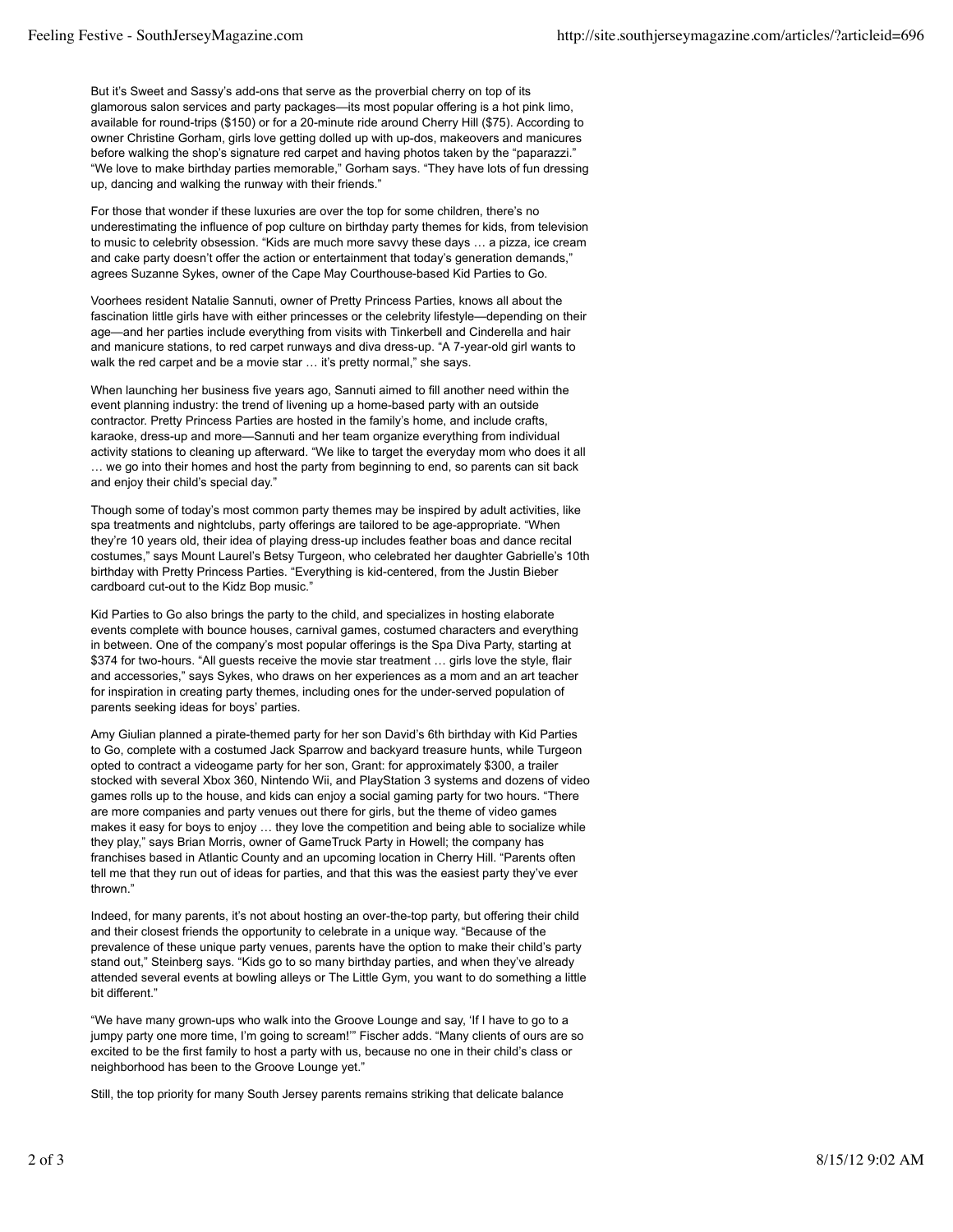But it's Sweet and Sassy's add-ons that serve as the proverbial cherry on top of its glamorous salon services and party packages—its most popular offering is a hot pink limo, available for round-trips (\$150) or for a 20-minute ride around Cherry Hill (\$75). According to owner Christine Gorham, girls love getting dolled up with up-dos, makeovers and manicures before walking the shop's signature red carpet and having photos taken by the "paparazzi." "We love to make birthday parties memorable," Gorham says. "They have lots of fun dressing up, dancing and walking the runway with their friends."

For those that wonder if these luxuries are over the top for some children, there's no underestimating the influence of pop culture on birthday party themes for kids, from television to music to celebrity obsession. "Kids are much more savvy these days … a pizza, ice cream and cake party doesn't offer the action or entertainment that today's generation demands," agrees Suzanne Sykes, owner of the Cape May Courthouse-based Kid Parties to Go.

Voorhees resident Natalie Sannuti, owner of Pretty Princess Parties, knows all about the fascination little girls have with either princesses or the celebrity lifestyle—depending on their age—and her parties include everything from visits with Tinkerbell and Cinderella and hair and manicure stations, to red carpet runways and diva dress-up. "A 7-year-old girl wants to walk the red carpet and be a movie star ... it's pretty normal," she says.

When launching her business five years ago, Sannuti aimed to fill another need within the event planning industry: the trend of livening up a home-based party with an outside contractor. Pretty Princess Parties are hosted in the family's home, and include crafts, karaoke, dress-up and more—Sannuti and her team organize everything from individual activity stations to cleaning up afterward. "We like to target the everyday mom who does it all … we go into their homes and host the party from beginning to end, so parents can sit back and enjoy their child's special day."

Though some of today's most common party themes may be inspired by adult activities, like spa treatments and nightclubs, party offerings are tailored to be age-appropriate. "When they're 10 years old, their idea of playing dress-up includes feather boas and dance recital costumes," says Mount Laurel's Betsy Turgeon, who celebrated her daughter Gabrielle's 10th birthday with Pretty Princess Parties. "Everything is kid-centered, from the Justin Bieber cardboard cut-out to the Kidz Bop music."

Kid Parties to Go also brings the party to the child, and specializes in hosting elaborate events complete with bounce houses, carnival games, costumed characters and everything in between. One of the company's most popular offerings is the Spa Diva Party, starting at \$374 for two-hours. "All guests receive the movie star treatment … girls love the style, flair and accessories," says Sykes, who draws on her experiences as a mom and an art teacher for inspiration in creating party themes, including ones for the under-served population of parents seeking ideas for boys' parties.

Amy Giulian planned a pirate-themed party for her son David's 6th birthday with Kid Parties to Go, complete with a costumed Jack Sparrow and backyard treasure hunts, while Turgeon opted to contract a videogame party for her son, Grant: for approximately \$300, a trailer stocked with several Xbox 360, Nintendo Wii, and PlayStation 3 systems and dozens of video games rolls up to the house, and kids can enjoy a social gaming party for two hours. "There are more companies and party venues out there for girls, but the theme of video games makes it easy for boys to enjoy ... they love the competition and being able to socialize while they play," says Brian Morris, owner of GameTruck Party in Howell; the company has franchises based in Atlantic County and an upcoming location in Cherry Hill. "Parents often tell me that they run out of ideas for parties, and that this was the easiest party they've ever thrown."

Indeed, for many parents, it's not about hosting an over-the-top party, but offering their child and their closest friends the opportunity to celebrate in a unique way. "Because of the prevalence of these unique party venues, parents have the option to make their child's party stand out," Steinberg says. "Kids go to so many birthday parties, and when they've already attended several events at bowling alleys or The Little Gym, you want to do something a little bit different."

"We have many grown-ups who walk into the Groove Lounge and say, 'If I have to go to a jumpy party one more time, I'm going to scream!'" Fischer adds. "Many clients of ours are so excited to be the first family to host a party with us, because no one in their child's class or neighborhood has been to the Groove Lounge yet."

Still, the top priority for many South Jersey parents remains striking that delicate balance